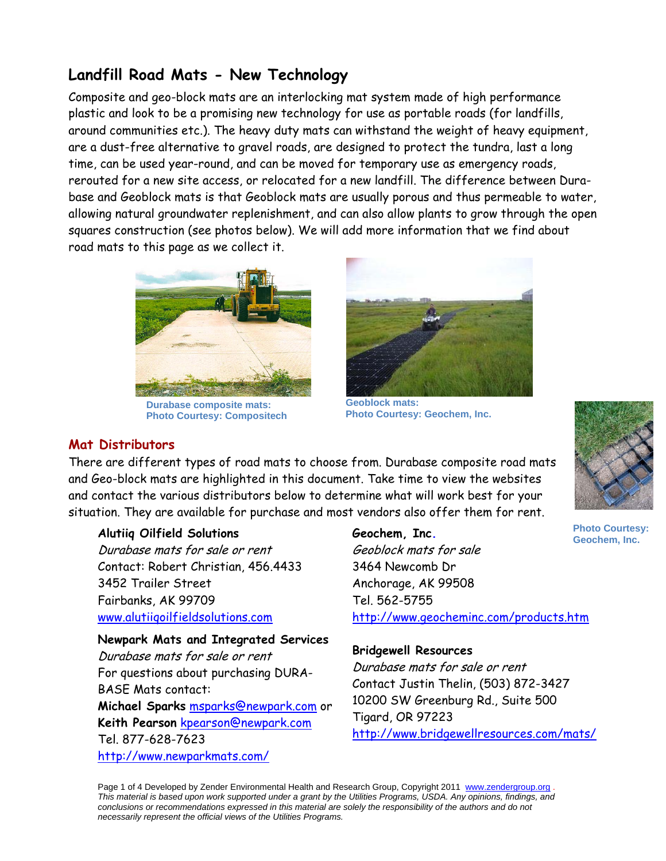# **Landfill Road Mats - New Technology**

Composite and geo-block mats are an interlocking mat system made of high performance plastic and look to be a promising new technology for use as portable roads (for landfills, around communities etc.). The heavy duty mats can withstand the weight of heavy equipment, are a dust-free alternative to gravel roads, are designed to protect the tundra, last a long time, can be used year-round, and can be moved for temporary use as emergency roads, rerouted for a new site access, or relocated for a new landfill. The difference between Durabase and Geoblock mats is that Geoblock mats are usually porous and thus permeable to water, allowing natural groundwater replenishment, and can also allow plants to grow through the open squares construction (see photos below). We will add more information that we find about road mats to this page as we collect it.



**Durabase composite mats: Photo Courtesy: Compositech** 



**Geoblock mats: Photo Courtesy: Geochem, Inc.** 



# **Mat Distributors**

There are different types of road mats to choose from. Durabase composite road mats and Geo-block mats are highlighted in this document. Take time to view the websites and contact the various distributors below to determine what will work best for your situation. They are available for purchase and most vendors also offer them for rent.

### **Alutiiq Oilfield Solutions**

Durabase mats for sale or rent Contact: Robert Christian, 456.4433 3452 Trailer Street Fairbanks, AK 99709 www.alutiiqoilfieldsolutions.com

**Newpark Mats and Integrated Services**  Durabase mats for sale or rent For questions about purchasing DURA-BASE Mats contact: **Michael Sparks** msparks@newpark.com or **Keith Pearson** kpearson@newpark.com Tel. 877-628-7623 http://www.newparkmats.com/

**Geochem, Inc.**  Geoblock mats for sale 3464 Newcomb Dr Anchorage, AK 99508 Tel. 562-5755 http://www.geocheminc.com/products.htm **Photo Courtesy: Geochem, Inc.** 

# **Bridgewell Resources**

Durabase mats for sale or rent Contact Justin Thelin, (503) 872-3427 10200 SW Greenburg Rd., Suite 500 Tigard, OR 97223 http://www.bridgewellresources.com/mats/

Page 1 of 4 Developed by Zender Environmental Health and Research Group, Copyright 2011 www.zendergroup.org . *This material is based upon work supported under a grant by the Utilities Programs, USDA. Any opinions, findings, and conclusions or recommendations expressed in this material are solely the responsibility of the authors and do not necessarily represent the official views of the Utilities Programs.*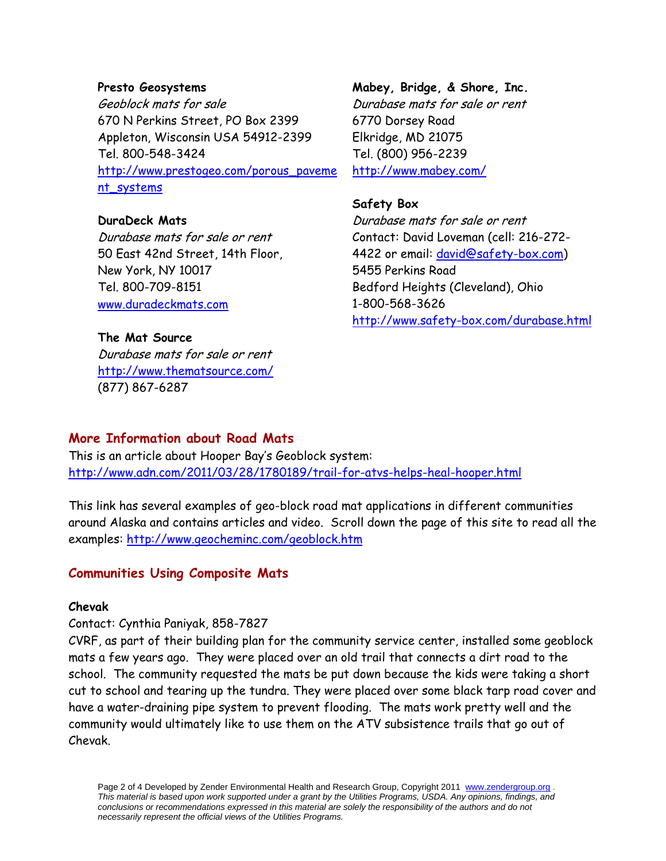#### **Presto Geosystems**

Geoblock mats for sale 670 N Perkins Street, PO Box 2399 Appleton, Wisconsin USA 54912-2399 Tel. 800-548-3424 http://www.prestogeo.com/porous\_paveme nt\_systems

### **DuraDeck Mats**

Durabase mats for sale or rent 50 East 42nd Street, 14th Floor, New York, NY 10017 Tel. 800-709-8151 www.duradeckmats.com

### **The Mat Source**

Durabase mats for sale or rent http://www.thematsource.com/ (877) 867-6287

# **Mabey, Bridge, & Shore, Inc.**  Durabase mats for sale or rent 6770 Dorsey Road Elkridge, MD 21075 Tel. (800) 956-2239

http://www.mabey.com/

### **Safety Box**

Durabase mats for sale or rent Contact: David Loveman (cell: 216-272- 4422 or email: david@safety-box.com) 5455 Perkins Road Bedford Heights (Cleveland), Ohio 1-800-568-3626 http://www.safety-box.com/durabase.html

# **More Information about Road Mats**

This is an article about Hooper Bay's Geoblock system: http://www.adn.com/2011/03/28/1780189/trail-for-atvs-helps-heal-hooper.html

This link has several examples of geo-block road mat applications in different communities around Alaska and contains articles and video. Scroll down the page of this site to read all the examples: http://www.geocheminc.com/geoblock.htm

# **Communities Using Composite Mats**

#### **Chevak**

#### Contact: Cynthia Paniyak, 858-7827

CVRF, as part of their building plan for the community service center, installed some geoblock mats a few years ago. They were placed over an old trail that connects a dirt road to the school. The community requested the mats be put down because the kids were taking a short cut to school and tearing up the tundra. They were placed over some black tarp road cover and have a water-draining pipe system to prevent flooding. The mats work pretty well and the community would ultimately like to use them on the ATV subsistence trails that go out of Chevak.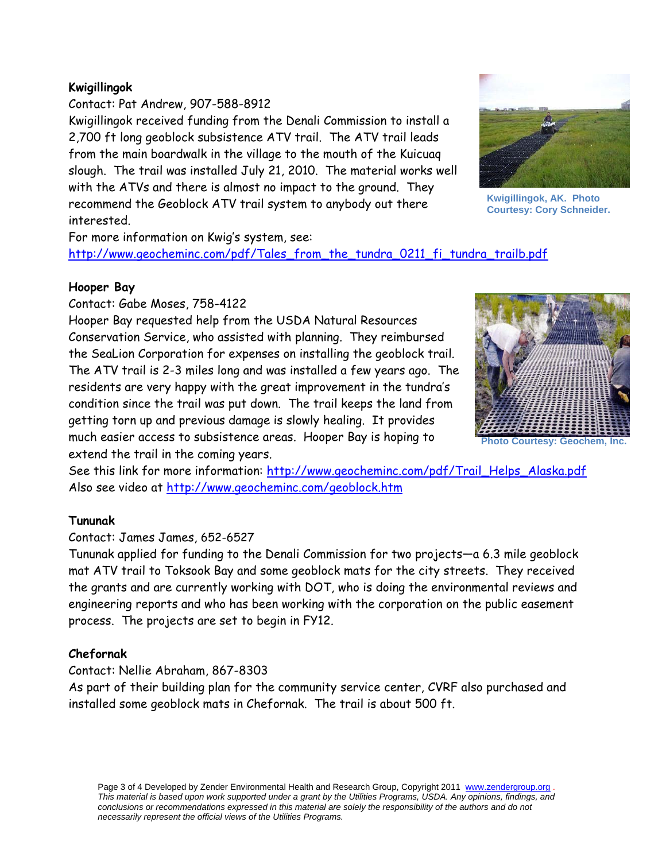# **Kwigillingok**

Contact: Pat Andrew, 907-588-8912 Kwigillingok received funding from the Denali Commission to install a 2,700 ft long geoblock subsistence ATV trail. The ATV trail leads from the main boardwalk in the village to the mouth of the Kuicuaq slough. The trail was installed July 21, 2010. The material works well with the ATVs and there is almost no impact to the ground. They recommend the Geoblock ATV trail system to anybody out there interested.



**Kwigillingok, AK. Photo Courtesy: Cory Schneider.** 

For more information on Kwig's system, see:

http://www.geocheminc.com/pdf/Tales\_from\_the\_tundra\_0211\_fi\_tundra\_trailb.pdf

### **Hooper Bay**

Contact: Gabe Moses, 758-4122

Hooper Bay requested help from the USDA Natural Resources Conservation Service, who assisted with planning. They reimbursed the SeaLion Corporation for expenses on installing the geoblock trail. The ATV trail is 2-3 miles long and was installed a few years ago. The residents are very happy with the great improvement in the tundra's condition since the trail was put down. The trail keeps the land from getting torn up and previous damage is slowly healing. It provides much easier access to subsistence areas. Hooper Bay is hoping to extend the trail in the coming years.



**Photo Courtesy: Geochem, Inc.**

See this link for more information: http://www.geocheminc.com/pdf/Trail\_Helps\_Alaska.pdf Also see video at http://www.geocheminc.com/geoblock.htm

# **Tununak**

# Contact: James James, 652-6527

Tununak applied for funding to the Denali Commission for two projects—a 6.3 mile geoblock mat ATV trail to Toksook Bay and some geoblock mats for the city streets. They received the grants and are currently working with DOT, who is doing the environmental reviews and engineering reports and who has been working with the corporation on the public easement process. The projects are set to begin in FY12.

# **Chefornak**

Contact: Nellie Abraham, 867-8303

As part of their building plan for the community service center, CVRF also purchased and installed some geoblock mats in Chefornak. The trail is about 500 ft.